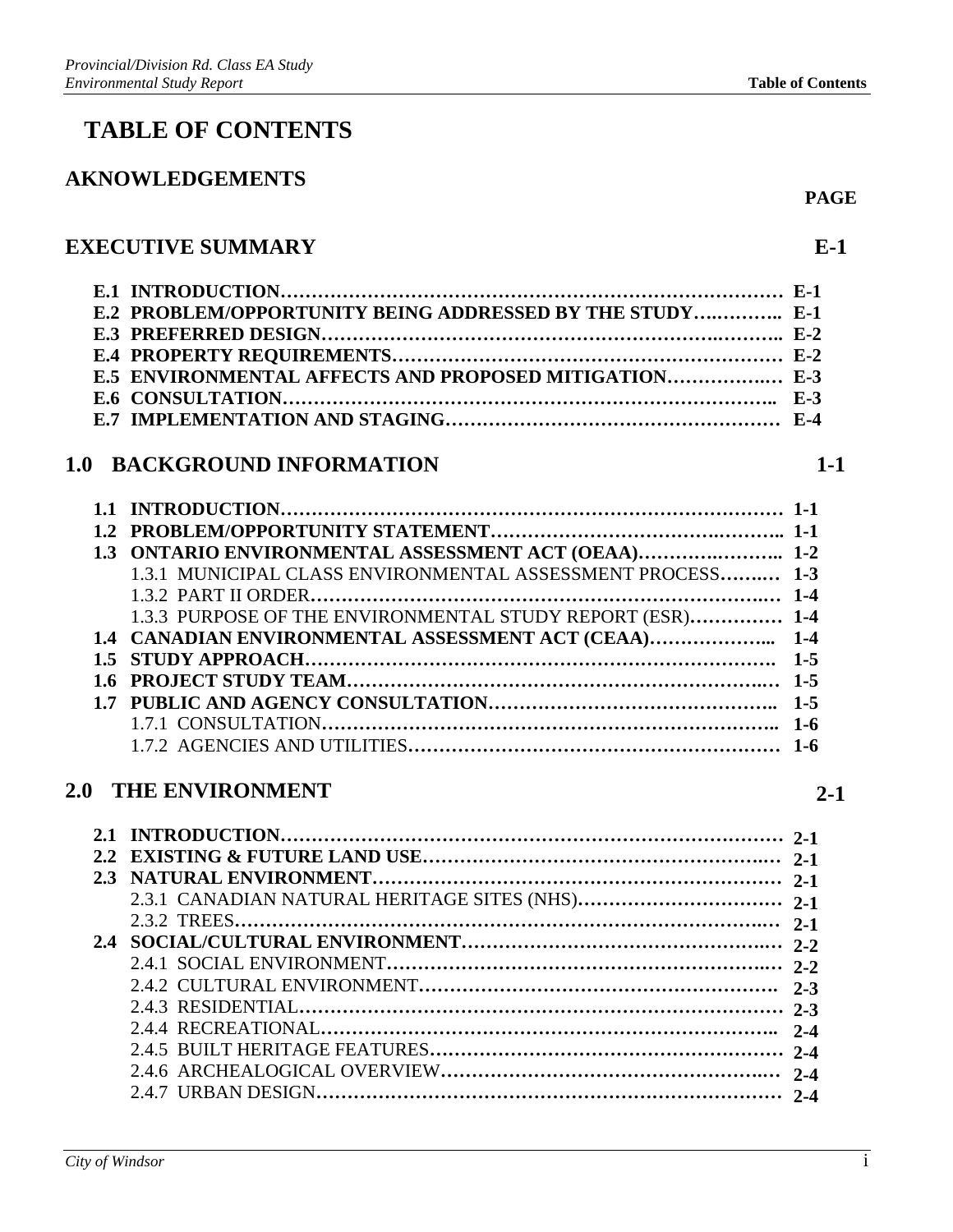# **TABLE OF CONTENTS**

#### **AKNOWLEDGEMENTS**

### **EXECUTIVE SUMMARY**

| E.2 PROBLEM/OPPORTUNITY BEING ADDRESSED BY THE STUDY E-1 |  |
|----------------------------------------------------------|--|
|                                                          |  |
|                                                          |  |
|                                                          |  |
|                                                          |  |
|                                                          |  |

## **1.0 BACKGROUND INFORMATION**

| 1.3 ONTARIO ENVIRONMENTAL ASSESSMENT ACT (OEAA) 1-2        |  |
|------------------------------------------------------------|--|
| 1.3.1 MUNICIPAL CLASS ENVIRONMENTAL ASSESSMENT PROCESS 1-3 |  |
|                                                            |  |
| 1.3.3 PURPOSE OF THE ENVIRONMENTAL STUDY REPORT (ESR) 1-4  |  |
|                                                            |  |
|                                                            |  |
|                                                            |  |
|                                                            |  |
|                                                            |  |
|                                                            |  |

## **2.0 THE ENVIRONMENT**

| 2.3 |  |
|-----|--|
|     |  |
|     |  |
|     |  |
|     |  |
|     |  |
|     |  |
|     |  |
|     |  |
|     |  |
|     |  |
|     |  |
|     |  |

**1-1** 

**PAGE** 

**2-1**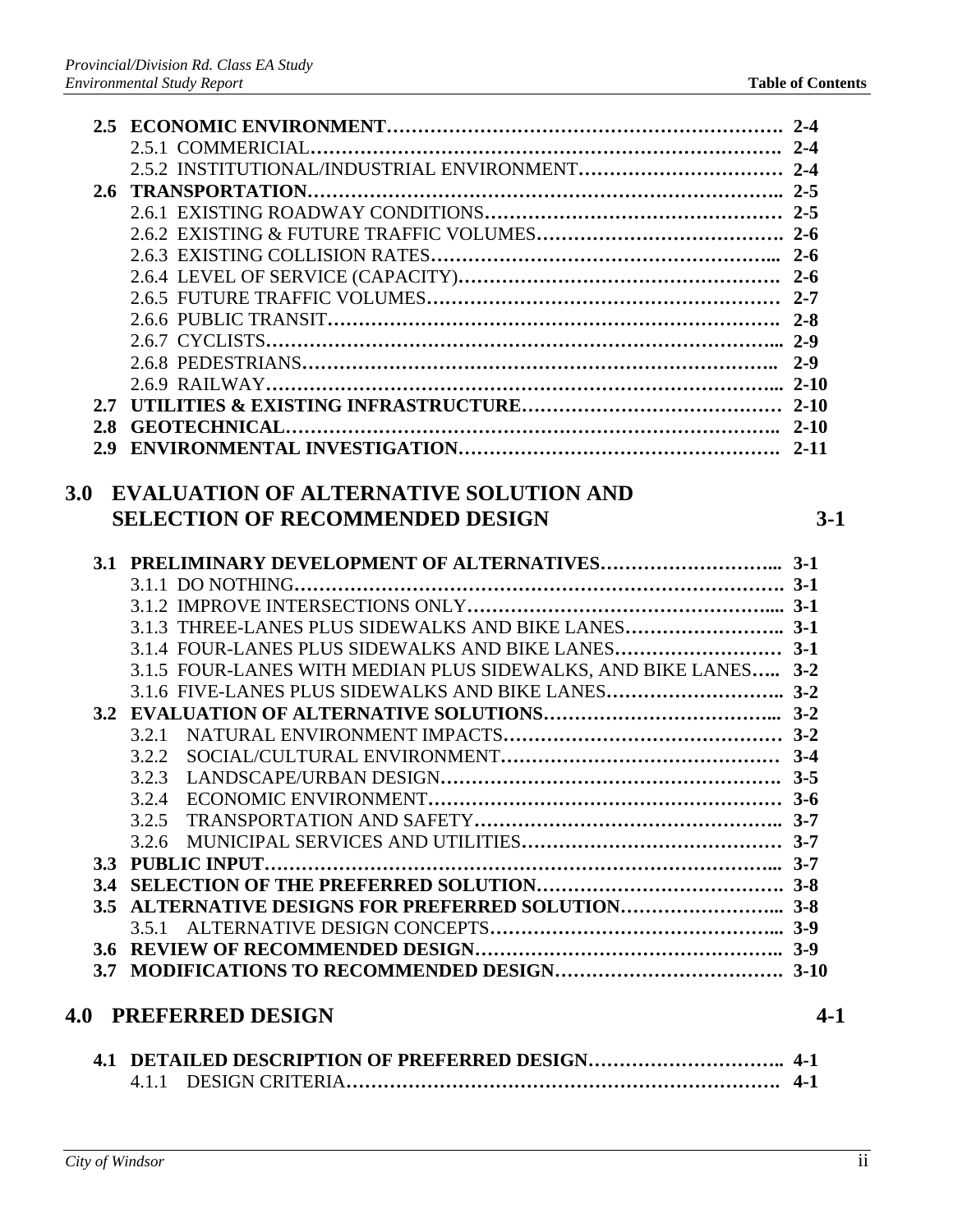| 3.0 | <b>EVALUATION OF ALTERNATIVE SOLUTION AND</b>                   |         |
|-----|-----------------------------------------------------------------|---------|
|     | <b>SELECTION OF RECOMMENDED DESIGN</b>                          | $3-1$   |
|     |                                                                 |         |
|     |                                                                 |         |
|     |                                                                 |         |
|     |                                                                 |         |
|     | 3.1.3 THREE-LANES PLUS SIDEWALKS AND BIKE LANES 3-1             |         |
|     | 3.1.4 FOUR-LANES PLUS SIDEWALKS AND BIKE LANES 3-1              |         |
|     | 3.1.5 FOUR-LANES WITH MEDIAN PLUS SIDEWALKS, AND BIKE LANES 3-2 |         |
|     |                                                                 |         |
|     |                                                                 |         |
|     | 3.2.1                                                           |         |
|     | 3.2.2                                                           |         |
|     | 3.2.3                                                           |         |
|     | 3.2.4                                                           |         |
|     |                                                                 |         |
|     |                                                                 |         |
|     |                                                                 |         |
|     |                                                                 |         |
|     |                                                                 |         |
|     |                                                                 |         |
|     |                                                                 |         |
|     |                                                                 |         |
|     |                                                                 |         |
|     | <b>4.0 PREFERRED DESIGN</b>                                     | $4 - 1$ |
|     |                                                                 |         |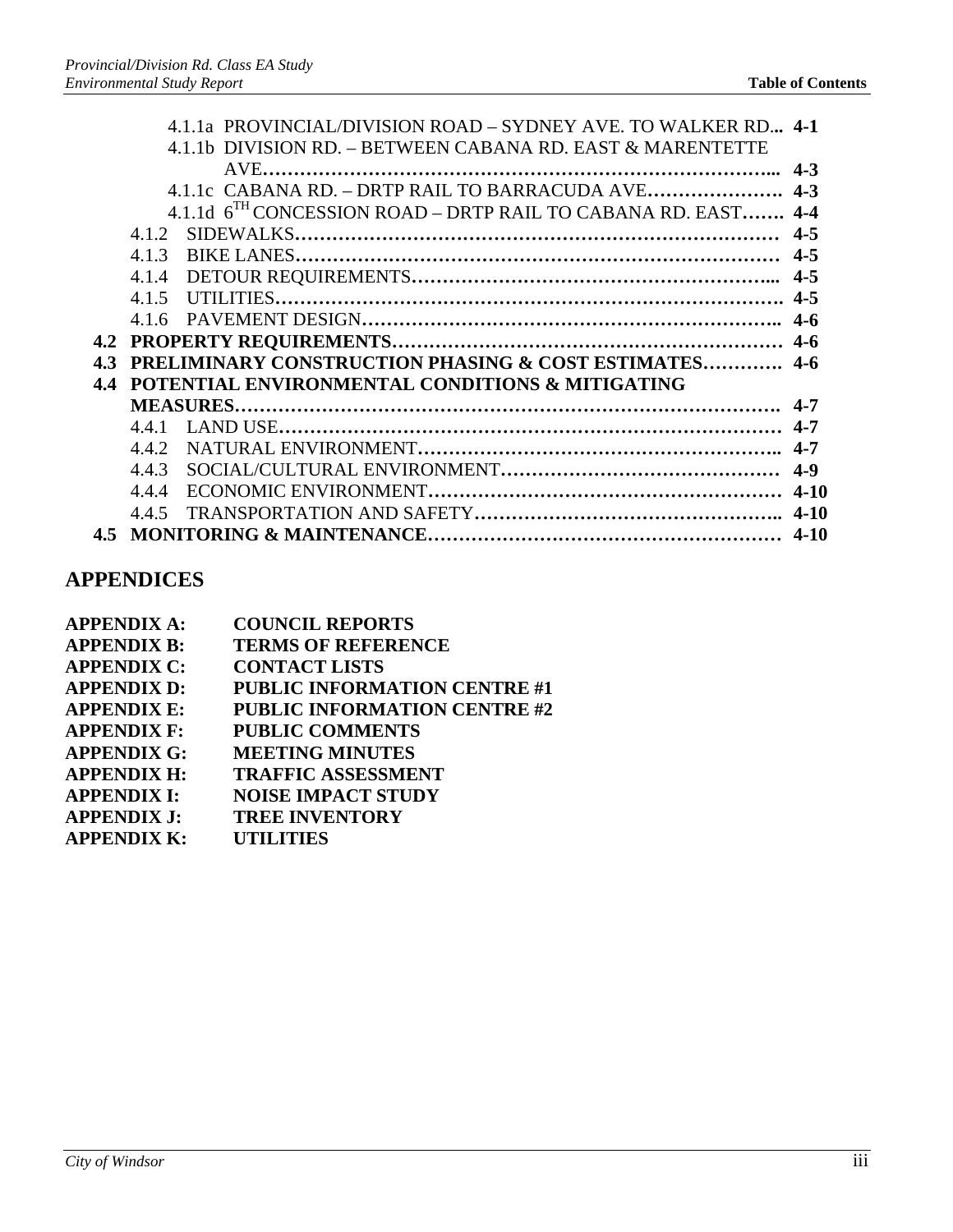|     |       | 4.1.1a PROVINCIAL/DIVISION ROAD – SYDNEY AVE. TO WALKER RD 4-1            |  |
|-----|-------|---------------------------------------------------------------------------|--|
|     |       | 4.1.1b DIVISION RD. – BETWEEN CABANA RD. EAST & MARENTETTE                |  |
|     |       |                                                                           |  |
|     |       |                                                                           |  |
|     |       | 4.1.1d 6 <sup>TH</sup> CONCESSION ROAD – DRTP RAIL TO CABANA RD. EAST 4-4 |  |
|     |       |                                                                           |  |
|     |       |                                                                           |  |
|     |       |                                                                           |  |
|     |       |                                                                           |  |
|     |       |                                                                           |  |
|     |       |                                                                           |  |
|     |       | 4.3 PRELIMINARY CONSTRUCTION PHASING & COST ESTIMATES 4-6                 |  |
| 4.4 |       | POTENTIAL ENVIRONMENTAL CONDITIONS & MITIGATING                           |  |
|     |       |                                                                           |  |
|     |       |                                                                           |  |
|     |       |                                                                           |  |
|     | 4.4.3 |                                                                           |  |
|     | 4.4.4 |                                                                           |  |
|     | 4.4.5 |                                                                           |  |
|     |       |                                                                           |  |
|     |       |                                                                           |  |

## **APPENDICES**

| <b>APPENDIX A:</b> | <b>COUNCIL REPORTS</b>              |
|--------------------|-------------------------------------|
| <b>APPENDIX B:</b> | <b>TERMS OF REFERENCE</b>           |
| <b>APPENDIX C:</b> | <b>CONTACT LISTS</b>                |
| <b>APPENDIX D:</b> | <b>PUBLIC INFORMATION CENTRE #1</b> |
| <b>APPENDIX E:</b> | <b>PUBLIC INFORMATION CENTRE #2</b> |
| <b>APPENDIX F:</b> | <b>PUBLIC COMMENTS</b>              |
| <b>APPENDIX G:</b> | <b>MEETING MINUTES</b>              |
| <b>APPENDIX H:</b> | <b>TRAFFIC ASSESSMENT</b>           |
| <b>APPENDIX I:</b> | <b>NOISE IMPACT STUDY</b>           |
| <b>APPENDIX J:</b> | <b>TREE INVENTORY</b>               |
| <b>APPENDIX K:</b> | <b>UTILITIES</b>                    |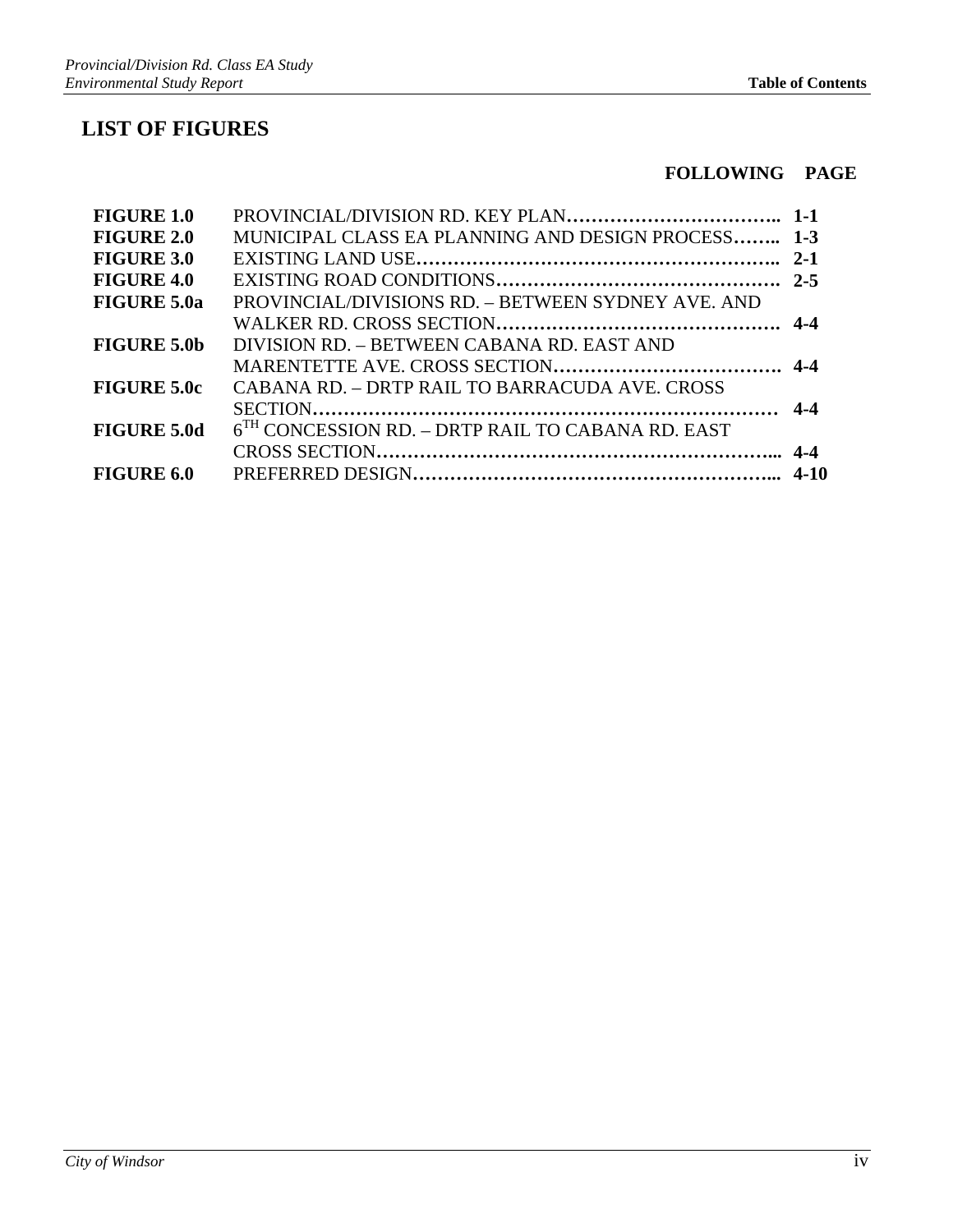## **LIST OF FIGURES**

#### **FOLLOWING PAGE**

| <b>FIGURE 1.0</b>  |                                                     |  |
|--------------------|-----------------------------------------------------|--|
| <b>FIGURE 2.0</b>  | MUNICIPAL CLASS EA PLANNING AND DESIGN PROCESS 1-3  |  |
| <b>FIGURE 3.0</b>  |                                                     |  |
| <b>FIGURE 4.0</b>  |                                                     |  |
| <b>FIGURE 5.0a</b> | PROVINCIAL/DIVISIONS RD. - BETWEEN SYDNEY AVE. AND  |  |
|                    |                                                     |  |
| <b>FIGURE 5.0b</b> | DIVISION RD. – BETWEEN CABANA RD. EAST AND          |  |
|                    |                                                     |  |
| <b>FIGURE 5.0c</b> | CABANA RD. – DRTP RAIL TO BARRACUDA AVE. CROSS      |  |
|                    |                                                     |  |
| <b>FIGURE 5.0d</b> | $6TH$ CONCESSION RD. – DRTP RAIL TO CABANA RD. EAST |  |
|                    |                                                     |  |
| <b>FIGURE 6.0</b>  |                                                     |  |